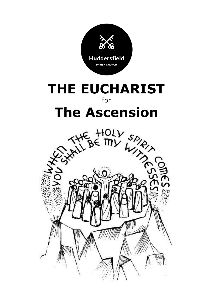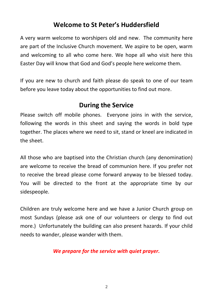## **Welcome to St Peter's Huddersfield**

A very warm welcome to worshipers old and new. The community here are part of the Inclusive Church movement. We aspire to be open, warm and welcoming to all who come here. We hope all who visit here this Easter Day will know that God and God's people here welcome them.

If you are new to church and faith please do speak to one of our team before you leave today about the opportunities to find out more.

# **During the Service**

Please switch off mobile phones. Everyone joins in with the service, following the words in this sheet and saying the words in bold type together. The places where we need to sit, stand or kneel are indicated in the sheet.

All those who are baptised into the Christian church (any denomination) are welcome to receive the bread of communion here. If you prefer not to receive the bread please come forward anyway to be blessed today. You will be directed to the front at the appropriate time by our sidespeople.

Children are truly welcome here and we have a Junior Church group on most Sundays (please ask one of our volunteers or clergy to find out more.) Unfortunately the building can also present hazards. If your child needs to wander, please wander with them.

*We prepare for the service with quiet prayer.*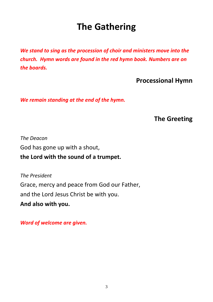# **The Gathering**

*We stand to sing as the procession of choir and ministers move into the church. Hymn words are found in the red hymn book. Numbers are on the boards.* 

**Processional Hymn**

*We remain standing at the end of the hymn.*

**The Greeting**

*The Deacon* God has gone up with a shout, **the Lord with the sound of a trumpet.**

*The President* Grace, mercy and peace from God our Father, and the Lord Jesus Christ be with you.

**And also with you.**

*Word of welcome are given.*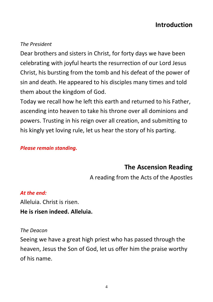#### *The President*

Dear brothers and sisters in Christ, for forty days we have been celebrating with joyful hearts the resurrection of our Lord Jesus Christ, his bursting from the tomb and his defeat of the power of sin and death. He appeared to his disciples many times and told them about the kingdom of God.

Today we recall how he left this earth and returned to his Father, ascending into heaven to take his throne over all dominions and powers. Trusting in his reign over all creation, and submitting to his kingly yet loving rule, let us hear the story of his parting.

#### *Please remain standing.*

## **The Ascension Reading**

A reading from the Acts of the Apostles

#### *At the end:*

Alleluia. Christ is risen. **He is risen indeed. Alleluia.**

#### *The Deacon*

Seeing we have a great high priest who has passed through the heaven, Jesus the Son of God, let us offer him the praise worthy of his name.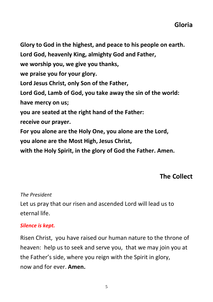**Glory to God in the highest, and peace to his people on earth. Lord God, heavenly King, almighty God and Father, we worship you, we give you thanks, we praise you for your glory. Lord Jesus Christ, only Son of the Father, Lord God, Lamb of God, you take away the sin of the world: have mercy on us; you are seated at the right hand of the Father: receive our prayer. For you alone are the Holy One, you alone are the Lord, you alone are the Most High, Jesus Christ, with the Holy Spirit, in the glory of God the Father. Amen.**

# **The Collect**

### *The President*

Let us pray that our risen and ascended Lord will lead us to eternal life.

#### *Silence is kept.*

Risen Christ, you have raised our human nature to the throne of heaven: help us to seek and serve you, that we may join you at the Father's side, where you reign with the Spirit in glory, now and for ever. **Amen.**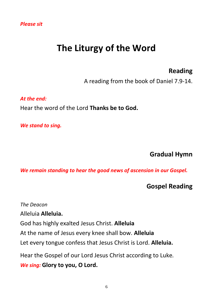# **The Liturgy of the Word**

## **Reading**

A reading from the book of Daniel 7.9-14.

*At the end:*  Hear the word of the Lord **Thanks be to God.**

*We stand to sing.*

### **Gradual Hymn**

*We remain standing to hear the good news of ascension in our Gospel.*

### **Gospel Reading**

*The Deacon* Alleluia **Alleluia.**  God has highly exalted Jesus Christ. **Alleluia** At the name of Jesus every knee shall bow. **Alleluia** Let every tongue confess that Jesus Christ is Lord. **Alleluia.** Hear the Gospel of our Lord Jesus Christ according to Luke*. We sing:* **Glory to you, O Lord.**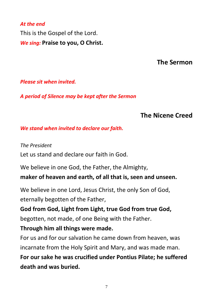# *At the end* This is the Gospel of the Lord. *We sing:* **Praise to you, O Christ.**

# **The Sermon**

#### *Please sit when invited.*

*A period of Silence may be kept after the Sermon*

# **The Nicene Creed**

#### *We stand when invited to declare our faith.*

*The President*  Let us stand and declare our faith in God.

We believe in one God, the Father, the Almighty,

**maker of heaven and earth, of all that is, seen and unseen.**

We believe in one Lord, Jesus Christ, the only Son of God, eternally begotten of the Father,

**God from God, Light from Light, true God from true God,** begotten, not made, of one Being with the Father.

## **Through him all things were made.**

For us and for our salvation he came down from heaven, was incarnate from the Holy Spirit and Mary, and was made man.

**For our sake he was crucified under Pontius Pilate; he suffered death and was buried.**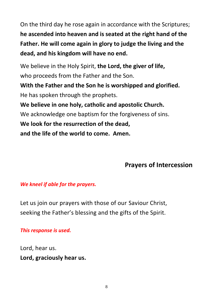On the third day he rose again in accordance with the Scriptures; **he ascended into heaven and is seated at the right hand of the Father. He will come again in glory to judge the living and the dead, and his kingdom will have no end.**

We believe in the Holy Spirit, **the Lord, the giver of life,** who proceeds from the Father and the Son.

**With the Father and the Son he is worshipped and glorified.** He has spoken through the prophets.

**We believe in one holy, catholic and apostolic Church.**

We acknowledge one baptism for the forgiveness of sins.

**We look for the resurrection of the dead,**

**and the life of the world to come. Amen.**

# **Prayers of Intercession**

### *We kneel if able for the prayers.*

Let us join our prayers with those of our Saviour Christ, seeking the Father's blessing and the gifts of the Spirit.

#### *This response is used.*

Lord, hear us. **Lord, graciously hear us.**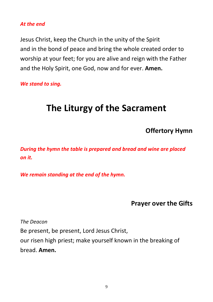#### *At the end*

Jesus Christ, keep the Church in the unity of the Spirit and in the bond of peace and bring the whole created order to worship at your feet; for you are alive and reign with the Father and the Holy Spirit, one God, now and for ever. **Amen.**

*We stand to sing.*

# **The Liturgy of the Sacrament**

**Offertory Hymn**

*During the hymn the table is prepared and bread and wine are placed on it.* 

*We remain standing at the end of the hymn.*

**Prayer over the Gifts**

*The Deacon*

Be present, be present, Lord Jesus Christ,

our risen high priest; make yourself known in the breaking of bread. **Amen.**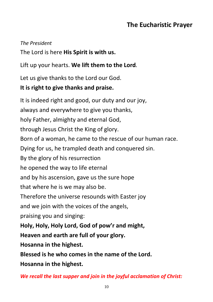# **The Eucharistic Prayer**

#### *The President*

The Lord is here **His Spirit is with us.**

Lift up your hearts. **We lift them to the Lord***.*

Let us give thanks to the Lord our God.

## **It is right to give thanks and praise.**

It is indeed right and good, our duty and our joy, always and everywhere to give you thanks, holy Father, almighty and eternal God, through Jesus Christ the King of glory. Born of a woman, he came to the rescue of our human race. Dying for us, he trampled death and conquered sin. By the glory of his resurrection he opened the way to life eternal and by his ascension, gave us the sure hope that where he is we may also be. Therefore the universe resounds with Easter joy and we join with the voices of the angels, praising you and singing: **Holy, Holy, Holy Lord, God of pow'r and might, Heaven and earth are full of your glory. Hosanna in the highest. Blessed is he who comes in the name of the Lord.** 

**Hosanna in the highest.**

*We recall the last supper and join in the joyful acclamation of Christ:*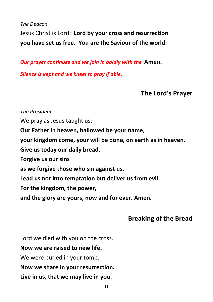*The Deacon* Jesus Christ is Lord: **Lord by your cross and resurrection you have set us free. You are the Saviour of the world.**

*Our prayer continues and we join in boldly with the* **Amen.**

*Silence is kept and we kneel to pray if able.*

**The Lord's Prayer**

*The President* We pray as Jesus taught us: **Our Father in heaven, hallowed be your name, your kingdom come, your will be done, on earth as in heaven. Give us today our daily bread. Forgive us our sins as we forgive those who sin against us. Lead us not into temptation but deliver us from evil. For the kingdom, the power, and the glory are yours, now and for ever. Amen.**

# **Breaking of the Bread**

Lord we died with you on the cross.

**Now we are raised to new life.**

We were buried in your tomb.

**Now we share in your resurrection.**

**Live in us, that we may live in you.**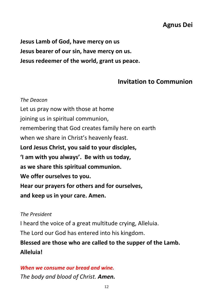# **Agnus Dei**

**Jesus Lamb of God, have mercy on us Jesus bearer of our sin, have mercy on us. Jesus redeemer of the world, grant us peace.**

## **Invitation to Communion**

*The Deacon* Let us pray now with those at home joining us in spiritual communion, remembering that God creates family here on earth when we share in Christ's heavenly feast. **Lord Jesus Christ, you said to your disciples, 'I am with you always'. Be with us today, as we share this spiritual communion. We offer ourselves to you. Hear our prayers for others and for ourselves, and keep us in your care. Amen.**

#### *The President*

I heard the voice of a great multitude crying, Alleluia.

The Lord our God has entered into his kingdom.

**Blessed are those who are called to the supper of the Lamb. Alleluia!** 

## *When we consume our bread and wine. The body and blood of Christ. Amen.*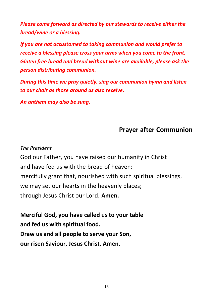*Please come forward as directed by our stewards to receive either the bread/wine or a blessing.* 

*If you are not accustomed to taking communion and would prefer to receive a blessing please cross your arms when you come to the front. Gluten free bread and bread without wine are available, please ask the person distributing communion.*

*During this time we pray quietly, sing our communion hymn and listen to our choir as those around us also receive.* 

*An anthem may also be sung.*

## **Prayer after Communion**

#### *The President*

God our Father, you have raised our humanity in Christ and have fed us with the bread of heaven: mercifully grant that, nourished with such spiritual blessings, we may set our hearts in the heavenly places; through Jesus Christ our Lord. **Amen.**

**Merciful God, you have called us to your table and fed us with spiritual food. Draw us and all people to serve your Son, our risen Saviour, Jesus Christ, Amen.**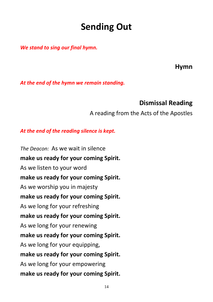# **Sending Out**

*We stand to sing our final hymn.*

**Hymn**

*At the end of the hymn we remain standing.*

## **Dismissal Reading**

#### A reading from the Acts of the Apostles

#### *At the end of the reading silence is kept.*

*The Deacon:* As we wait in silence **make us ready for your coming Spirit.** As we listen to your word **make us ready for your coming Spirit.** As we worship you in majesty **make us ready for your coming Spirit.** As we long for your refreshing **make us ready for your coming Spirit.** As we long for your renewing **make us ready for your coming Spirit.** As we long for your equipping, **make us ready for your coming Spirit.** As we long for your empowering **make us ready for your coming Spirit.**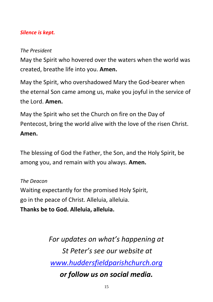#### *Silence is kept.*

#### *The President*

May the Spirit who hovered over the waters when the world was created, breathe life into you. **Amen.** 

May the Spirit, who overshadowed Mary the God-bearer when the eternal Son came among us, make you joyful in the service of the Lord. **Amen.**

May the Spirit who set the Church on fire on the Day of Pentecost, bring the world alive with the love of the risen Christ. **Amen.** 

The blessing of God the Father, the Son, and the Holy Spirit, be among you, and remain with you always. **Amen.**

*The Deacon* Waiting expectantly for the promised Holy Spirit, go in the peace of Christ. Alleluia, alleluia. **Thanks be to God. Alleluia, alleluia.**

> *For updates on what's happening at St Peter's see our website at [www.huddersfieldparishchurch.org](http://www.huddersfieldparishchurch.org/) or follow us on social media.*